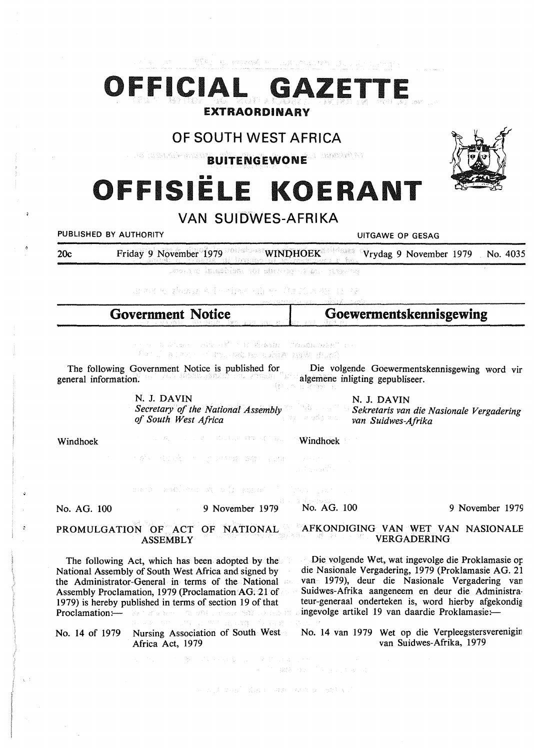# OFFICIAL GAZET EXTRAORDINARY

1994 - André Britain, amerikansk politik for de

## **OF SOUTH WEST AFRICA**

rana Kheletal an A Gasmàric 1. BUITENGEWONE

# OFFISIËLE KOERANT

### **VAN SUIDWES-AFRIKA**

**PUBLISHED BY AUTHORITY CONSUMING A RESAGE OF SESAGE AND RESAGE AT A RESAGE OF GESAGE AND RESAGE AT A RESPONDENT** 

20c Friday 9 November 1979 **WINPHOEK** Vrydag 9 November 1979 No. 4035

donna isastida ao shuna ni ban

Books Amaz A is indicated to the Tech Asset of

| <b>Government Notice</b> | Goewermentskennisgewing |
|--------------------------|-------------------------|
|                          |                         |
|                          |                         |

1. 以上が、「いい」のW - N D 名(あ)注) 「これ以銀に収定を"(コ) Santh West Africa address to the first  $f\in\mathbb{R}^{N}$ 

The following Government Notice is published for neral information. general information. Die volgende Goewermentskennisgewing word vir algemene inligting gepubliseer.

N. J. **DAVIN** 

*Secretary of the National Assembly*  그렇다 그 *of South West Africa* 

N. J. DAVIN *Sekretaris van die Nasionale Vergadering van Suidwes-Afrika* 

Windhoek

To New Market Control of the Control of State Council

Windhoek

ancient national

No. AG. 100

9 November 1979

se a di vesti dua cisa ni antara ishti vi

**CONSTRUCTION** 

No. AG. 100 9 November 1979

### **PROMULGATION** OF ACT OF **NATIONAL ASSEMBLY**

The following Act, which has been adopted by the National Assembly of South West Africa and signed by the Administrator-General in terms of the National Assembly Proclamation, 1979 (Proclamation AG. 21 of 1979) is hereby published in terms of section 19 of that Proclamation:-Walter and Story ストルーン 極端クリック

No. 14 of 1979 Nursing Association of South West Africa Act, 1979

### AFKONDIGING VAN WET VAN NASIONALE VERGADERING

Die volgende Wet, wat ingevolge die Proklamasie op die Nasionale Vergadering, 1979 (Proklamasie AG. 21 van 1979), deur die Nasionale Vergadering van Suidwes-Afrika aangeneem en deur die Administrateur-generaal onderteken is, word hierby afgekondig ingevolge artikel 19 van daardie Proklamasie:-

No. 14 van 1979 Wet op die Verpleegstersverenigin van Suidwes-Afrika, 1979

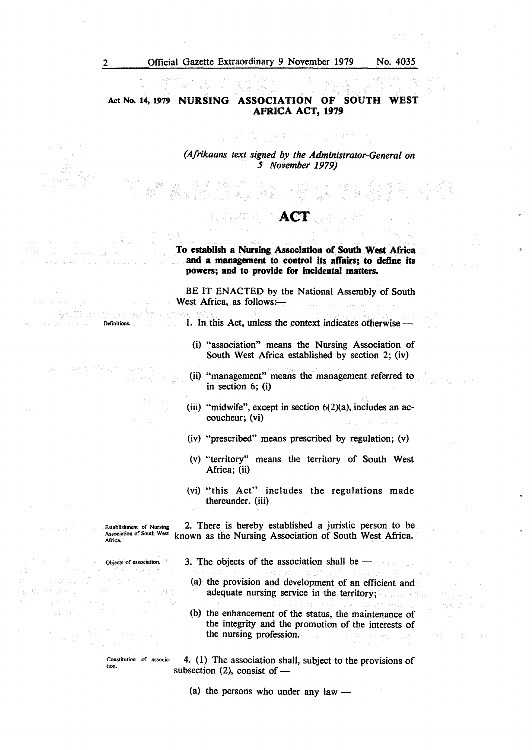2 Official Gazette Extraordinary 9 November 1979 No. 4035

### **Act No. 14, 1979 NURSING ASSOCIATION OF SOUTH WEST AFRICA ACT, 1979**

*(Afrikaans text signed by the Administrator-General on 5 November 1979)* 

### **ACT**

**To establish a Nursing Association of South West Africa and a management to control its affairs; to define its powers; and to provide for incidental matters.** 

BE IT ENACTED by the National Assembly of South West Africa, as follows: $-$ 

!. In this Act, unless the context indicates otherwise -

- (i) "association" means the Nursing Association of South West Africa established by section 2; (iv)
- (ii) "management" means the management referred to in section 6; (i)
- (iii) "midwife", except in section  $6(2)(a)$ , includes an accoucheur; (vi)
- (iv) "prescribed" means prescribed by regulation;  $(v)$
- (v) "territory" means the territory of South West Africa; (ii)
- (vi) "this Act" includes the regulations made thereunder. (iii)

Establishment of Nursing Association of South West Africa. 2. There is hereby established a juristic person to be known as the Nursing Association of South West Africa.

3. The objects of the association shall be  $-$ 

- (a) the provision and development of an efficient and adequate nursing service in the territory; and and
- (b) the enhancement of the status, the maintenance of the integrity and the promotion of the interests of the nursing profession. The contraction of the second

Constitution of association. 4. (1) The association shall, subject to the provisions of subsection  $(2)$ , consist of -

(a) the persons who under any law  $-$ 

Definitions.

**Bioverar** 

มณ์หล

Objects of association.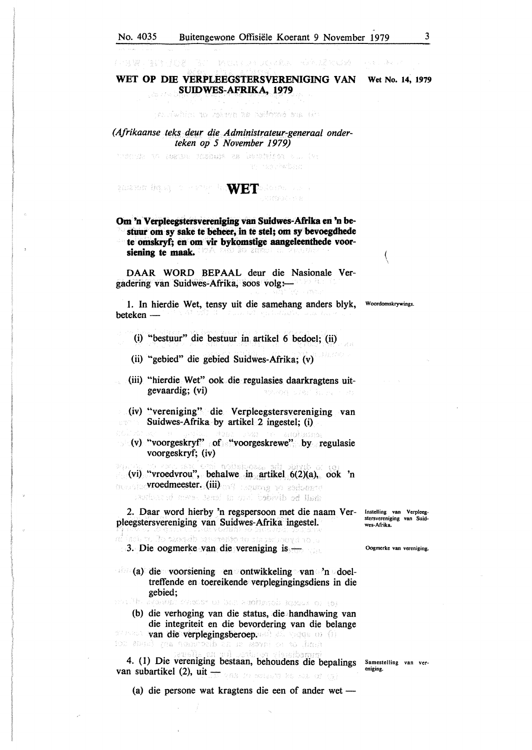「私の」「猶もはずしゃ」はいである。 トンタルぎ 阿 じゅうこうしょうきゅう

the articles as not be contracted and

#### *(Afrikaanse teks deur die Administrateur-generaal onderteken op 5 November 1979)*

thornic an essam fisicula es libertalen du. (Ar an menyhadian

### man in the second in **WET** alone.

(中国牌、陸調子員の新。)

### **Om 'n Verpleegstersvereniging van Suidwes-Afrika en 'n bestuur om·sy sake te beheer,** in **te stel; om sy bevoegdhede te omskryf; en om vir bykomstige aangeleenthede voorslening te maak.**

DAAR WORD BEPAAL deur die Nasionale Vergadering van Suidwes-Afrika, soos volg:—

1. In hierdie Wet, tensy uit die samehang anders blyk, Woordomskrywings. beteken -

(i) ••bestuur" die bestuur in artikel 6 bedoel; (ii)

(ii) "gebied" die gebied Suidwes-Afrika; (v)

(iii) '"hierdie Wet" ook die regulasies daarkragtens uitgevaardig; (vi) MONGG 1765 hiri

- (iv) "vereniging" die Verpleegstersvereniging van  $\sim 35$ Suidwes-Afrika by artikel 2 ingestel; (i)
- $(v)$  "voorgeskryf" of "voorgeskrewe" by regulasie voorgeskryf; (iv)

distroar. (vi) "vroedvrou", behalwe in artikel  $6(2)(a)$ , ook 'n vroedmeester. (iii) was regions to assign to sailan d'uws test in onl babelh ad llant

2. Daar word hierby 'n regspersoon met die naam Ver-lnstelling van Verpleeg-

# pleegstersvereniging van Suidwes-Afrika ingestel.<br>In the state is seen the second contract of the second contract of the second contract of the second contract o

3. Die oogmerke van die vereniging is-

(a) die voorsiening en ontwikkeling van 'n doeltreffende en toereikende verplegingingsdiens in die gebied;<br>while avanual whech or han antihenois igenus or (6)

(b) die verhoging van die status, die handhawing van die integriteit en die bevordering van die belange van die verplegingsberoep.aab en vage en (i)<br>102 doed gas houwoedb an de asvad en 10 junie

4. (1) Die vereniging bestaan, behoudens die bepalings Samestelling van ver-eniging. van subartikel (2), uit **- Alle an advanced to the second value** 

stersvereniging van Suid-

Oogmerke van vereniging.

wes-Afrika.

(a) die persone wat kragtens die een of ander wet -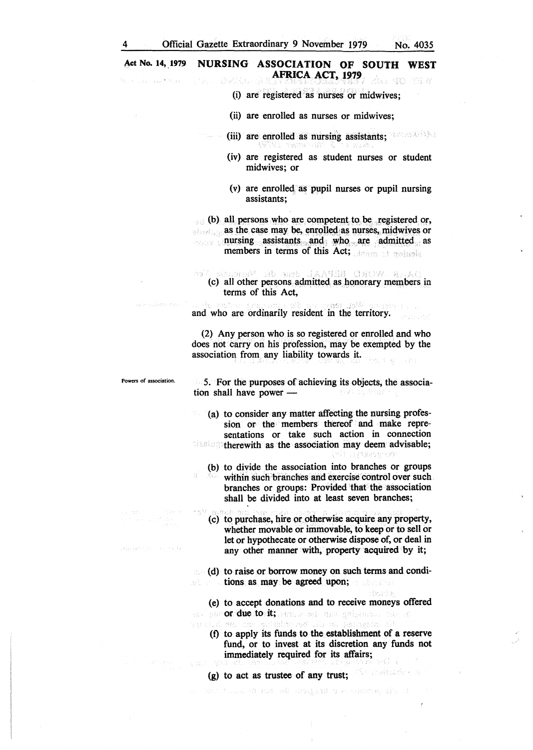#### Act No. 14, 1979 NURSING ASSOCIATION OF SOUTH WEST **AFRICA ACT, 1979**  A : 19 3G - 430 - PRI *4*

- (i) are registered as nurses or midwives;
- (ii) are enrolled as nurses or midwives;
- (iii) are enrolled as nursing assistants;
	- (iv) are registered as student nurses or student midwives; or
	- (v) are enrolled. as pupil nurses or pupil nursing assistants;

 $\epsilon_{\text{tot}}$  (b) all persons who are competent to be registered or, as the case may be, enrolled as nurses, midwives or nursing assistants and who are admitted as members in terms of this Act; American characteristic

deur die Niema **月太太阳月红 (手握)/起, 鼻。** ( c) all other persons admitted as honorary members in terms of this Act,

and who are ordinarily resident in the territory.

(2) Any person who is so registered or enrolled and who does not carry on his profession, may be exempted by the association from any liability towards it.

Powers of association.

Approximation survivals.

5. For the purposes of achieving its objects, the association shall have power  $$ o est njima

(a) to consider any matter affecting the nursing profession or the members thereof and make representations or take such action in connection  $t$  is frequency the rewith as the association may deem advisable;<br> $\frac{1}{2}$ 

(b) to divide the association into branches or groups within such branches and exercise control over such branches or groups: Provided that the association shall be divided into at least seven branches;

(c) to purchase, hire or otherwise acquire any property, whether movable or immovable, to keep or to sell or let or hypothecate or otherwise dispose of, or deal in any other manner with, property acquired by it;

(d) to raise or borrow money on such terms and conditrun aif. tions as may be agreed upon;

(e) to accept donations and to receive moneys offered or due to it; annue an galpanna the c<br>an idea or an glimine of the museum of

dende

(f) to apply its funds to the establishment of a reserve fund, or to invest at its discretion any funds not immediately required for its affairs;

The figure to must be considered to a content division

(g) to act as trustee of any trust;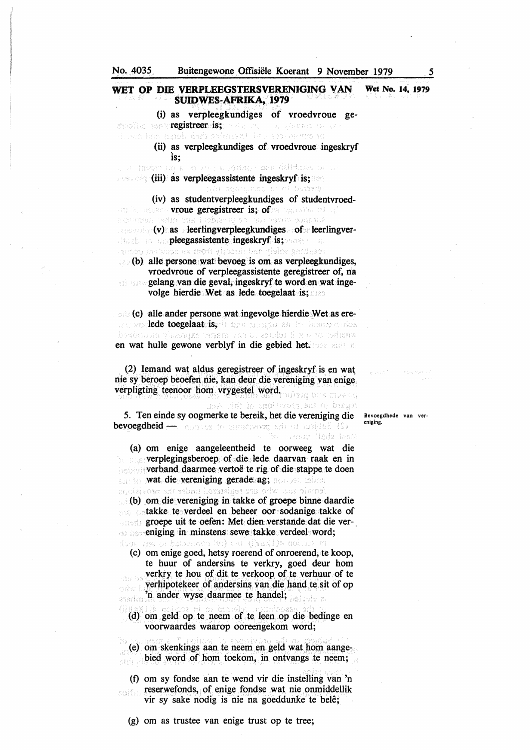(i) as verpleegkundiges of vroedvroue geregistre<mark>er is;</mark> with the gound of a<br>decline in angle individually in a spectrum to

> (ii) as verpleegkundiges of vroedvroue. ingeskryf 1s;

. A Rubit na E-o av : 2 fonno: ona dalfabo di 1. **Example:** (iii) as verpleegassistente ingeskryf is;

(iv) as studentverpleegkundiges of studentvroedurb, aozae **vroue geregistreer is; of**ax ognavas of<br>sterrom carbo bus indbiased and an abrow consult (v)· as leerlingverpleegkundiges of· leerlingverdans on pleegassistente ingeskryf is; and a estan melang med decelv from an carden rour

 $\therefore$  (b) alle persone wat bevoeg is om as verpleegkundiges, vroedvroue of verpleegassistente geregistreer of, na

gelang van die geval, ingeskryf te word en wat ingevolge hierdie Wet as lede toegelaat is;

(c) alle ander persone wat ingevolge hierdie Wet as erelede toegelaat is, die boodspiedenis bronneeries<br>bereden en ykzerne toffen van et zelefend har te teilierie en wat hulle gewone verblyf in die gebied bet.

 $(2)$  Iemand wat aldus geregistreer of ingeskryf is en wat nie sy beroep beoefen nie, kan deur die vereniging van enige verpligting teenoor horn vrygestel word.

do A did ho ancistere, set of the Act. 5. Ten einde sy oogmerke te bereik, bet die vereniging die bevoegdheid - assesse to assessword she of fortige? (S) anch shall domsin af

(a) om enige aangeleentheid te oorweeg wat die verplegingsberoep of. die lede daarvan raak en in **verband daarmee vertoë te rig of die stappe te doen** wat die vereniging gerade ag; acteur solan

tenale suu, who ure tegistered under the movings (b) om die vereniging in takke of groepe binne daardie takke te verdeel en beheer oor sodanige takke of groepe uit te oefen: Met dien verstande dat die vereniging in minstens sewe takke verdeel word;

dow are a banceros (v) bu (N&NI)& solue s ( c) om enige goed, hetsy roerend of onroerend, te koop, te huur of andersins te verkry, goed deur horn verkry te hou of dit te verkoop of te verhuur of te verhipotekeer of andersins van die hand te sit of op orke b 'n ander wyse daarmee te handel;

(d) om geld op te neem of te leen op die bedinge en voorwaardes waarop ooreengekom word;

(e) om skenkings aan te neem en geld wat horn aange-. bied word of hom toekom, in ontvangs te neem; ABO -

(f) om sy fondse aan te wend vir die instelling van 'n reserwefonds, of enige fondse wat nie onmiddellik saith vir sy sake nodig is nie na goeddunke te bele;

(g) om as trustee van enige trust op te tree;

Bevoegdhede van vereniging.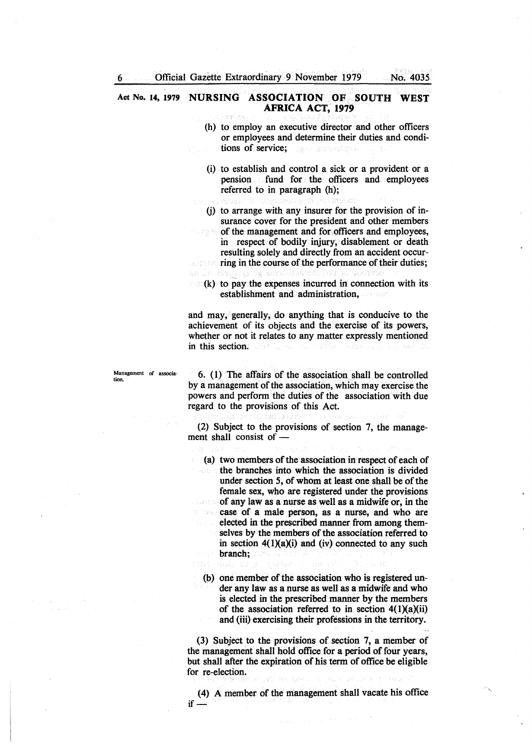"世紀"

### **Act No. 14, 1979 NURSING ASSOCIATION OF SOUTH WEST AFRICA ACT, 1979**

- (h) to employ an executive director and other officers or employees and determine their duties and conditions of service; o en acerdoni
- (i) to establish and control a sick or a provident or a pension fund for the officers and employees referred to in paragraph (h);
- (j) to arrange with any insurer for the provision of insurance cover for the president and other members
- of the management and for officers and employees, ประส in respect of bodily injury, disablement or death resulting solely and directly from an accident occur-

ring in the course of the performance of their duties; a sinamin aa Jel ansien Nachsent

 $\mathbb{R}^n(k)$  to pay the expenses incurred in connection with its establishment and administration,

and may, generally, do anything that is conducive to the achievement of its objects and the exercise of its powers, whether or not it relates to any matter expressly mentioned in this section: and a man and another subsequently

Management of association.

6. (1) The affairs of the association shall be controlled by a management of the association, which may exercise the powers and perform the duties of the association with due regard to the provisions of this Act.

(2) Subject to the provisions of section 7, the management shall consist of  $-$ 

(a) two members of the association in respect of each of the branches into which the association is divided under section 5, of whom at least one shall be of the female sex, who are registered under the provisions of any law as a nurse as well as a midwife or, in the case of a male person, as a nurse, and who are elected in the prescribed manner from among themselves by the members of the association referred to in section  $4(1)(a)(i)$  and (iv) connected to any such branch;

(b) one member of the association who is registered under any law as a nurse as well as a midwife and who is elected in the prescribed manner by the members of the association referred to in section  $4(1)(a)(ii)$ and (iii) exercising their professions in the territory.

(3) Subject to the provisions of section 7, a member of the management shall hold office for a period of four years, but shall after the expiration of his term of office be eligible for re-election.

(4) A member of the management shall vacate his office  $if -$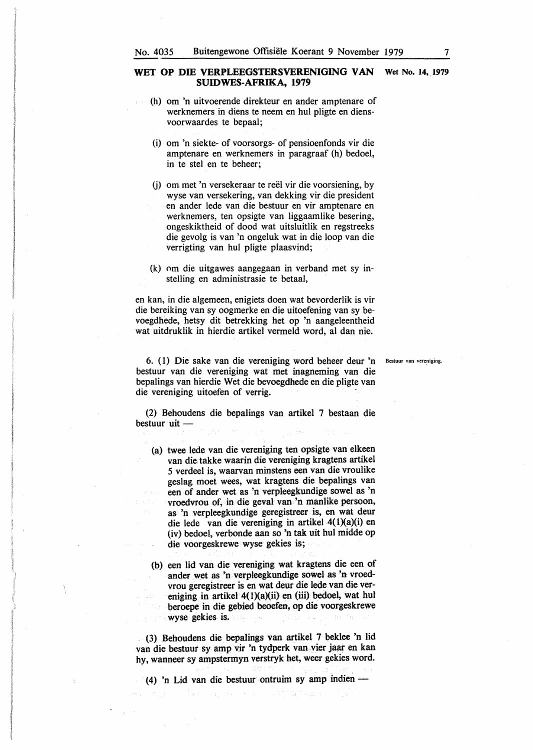- (h) om 'n uitvoerende direkteur en ander amptenare of werknemers in diens te neem en hul pligte en diensvoorwaardes te bepaal;
	- (i) om 'n siekte- of voorsorgs- of pensioenfonds vir die amptenare en werknemers in paragraaf (h) bedoel, in te stel en te beheer;
	- (j) om met 'n versekeraar te reel vir die voorsiening, by wyse van versekering, van dekking vir die president en ander lede van die bestuur en vir amptenare en werknemers, ten opsigte van liggaamlike besering, ongeskiktheid of dood wat uitsluitlik en regstreeks die gevolg is van 'n ongeluk wat in die loop van die verrigting van hul pligte plaasvind;
- (k) om die uitgawes aangegaan in verband met sy instelling en administrasie te betaal,

en kan, in die algemeen, enigiets doen wat bevorderlik is vir die bereiking van sy oogmerke en die uitoefening van sy bevoegdhede, hetsy dit betrekking bet op 'n aangeleentheid wat uitdruklik in hierdie artikel vermeld word, al dan nie.

6. (1) Die sake van die vereniging word beheer deur 'n Bestuur van vereniging. bestuur van die vereniging wat met inagneming van die bepalings van hierdie Wet die bevoegdhede en die pligte van die vereniging uitoefen of verrig.

(2) Behoudens die bepalings van artikel 7 bestaan die bestuur uit -

- (a) twee lede van die vereniging ten opsigte van elkeen van die takke waarin die vereniging kragtens artikel *5* verdeel is, waarvan minstens een van die vroulike geslag moet wees, wat kragtens die bepalings van een of ander wet as 'n verpleegkundige sowel as 'n vroedvrou of, in die geval van 'n manlike persoon, as 'n verpleegkundige geregistreer is, en wat deur die lede van die vereniging in artikel 4(1)(a)(i) en (iv) bedoel, verbonde aan so 'n tak uit hul midde op die voorgeskrewe wyse gekies is;
- (b) een lid van die vereniging wat kragtens die een of ander wet as 'n verpleegkundige sowel as 'n vroedvrou geregistreer is en wat deur die lede van die vereniging in artikel 4(1)(a)(ii) en (iii) bedoel, wat hul beroepe in die gebied beoefen, op die voorgeskrewe wyse gekies is.

(3) Behoudens die bepalings van artikel 7 beklee 'n lid van die bestuur sy amp vir 'n tydperk van vier jaar en kan hy, wanneer sy ampstermyn verstryk bet, weer gekies word.

(4) 'n Lid van die bestuur ontruim sy amp indien  $-$ 

 $\label{eq:1} \begin{array}{c} \mathcal{H}_{\alpha}(\mathcal{B},\mathcal{C}) = \mathcal{H}_{\alpha}(\mathcal{C}) \mathcal{H}_{\alpha} \\ \mathcal{H}_{\alpha}(\mathcal{C}) = \mathcal{H}_{\alpha}(\mathcal{C}) \end{array}$ 

 $\mathcal{L}_{\mathcal{A}_1}$  , where  $\mathcal{L}_{\mathcal{A}_1}$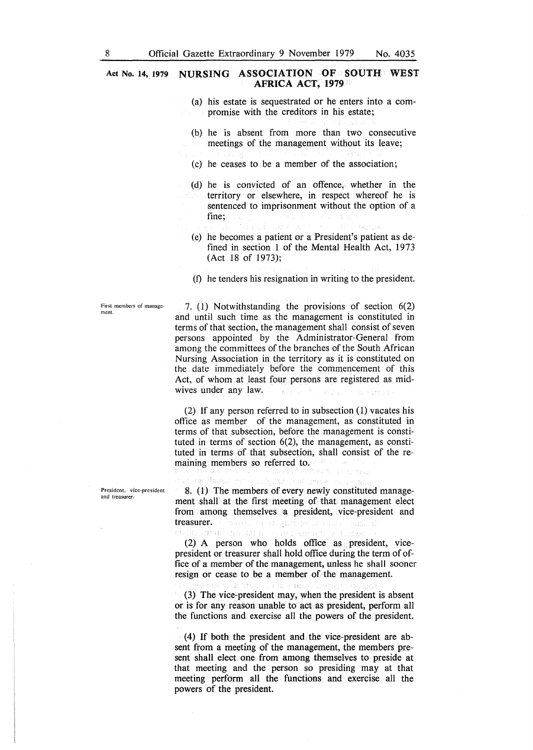### Act No. 14, 1979 NURSING ASSOCIATION OF SOUTH WEST **AFRICA ACT, 1979**

- (a) his estate is sequestrated or he enters into a compromise with the creditors in his estate;
- (b) he is absent from more than two consecutive meetings of the management without its leave;
- (c) he ceases to be a member of the association;
- (d) he is convicted of an offence, whether in the territory or elsewhere, in respect whereof he is sentenced to imprisonment without the option of a fine;
	- Based Camarus
- (e) he becomes a patient or a President's patient as defined in section 1 of the Mental Health Act,  $1973$ (Act 18 of 1973);
- (f) he tenders his resignation in writing to the president.

First members of management.

7. (1) Notwithstanding the provisions of section 6(2) and until such time as the management is constituted in terms of that section, the management shall consist of seven persons appointed by the Administrator-General from among the committees of the branches of the South African Nursing Association in the territory as it is constituted on the date immediately before the commencement of this Act, of whom at least four persons are registered as midwives under any law. 数字形式

(2) If any person referred to in subsection (1) vacates his office as member of the management, as constituted in terms of that subsection, before the management is constituted in terms of section 6(2), the management, as constituted in terms of that subsection, shall consist of the remaining members so referred to.

President. vice~president and treasurer.

8. (1) The members of every newly constituted management shall at the first meeting of that management elect from among themselves a president, vice-president and treasurer. The source of specific content of the massive coussion an finality. and engineer instem

For a central ten

seniface is also

(2) A person who holds office as president, vicepresident or treasurer shall hold office during the term of office of a member of the management, unless he shall sooner resign or cease to be a member of the management.

union de la ména al vil unikan sy

(3) The vice-president may, when the president is absent or is for any reason unable to act as president, perform all the functions and exercise all the powers of the president.

(4) If both the president and the vice-president are absent from a meeting of the management, the members present shall elect one from among themselves to preside at that meeting and the person so presiding may at that meeting perform all the functions and exercise all the powers of the president.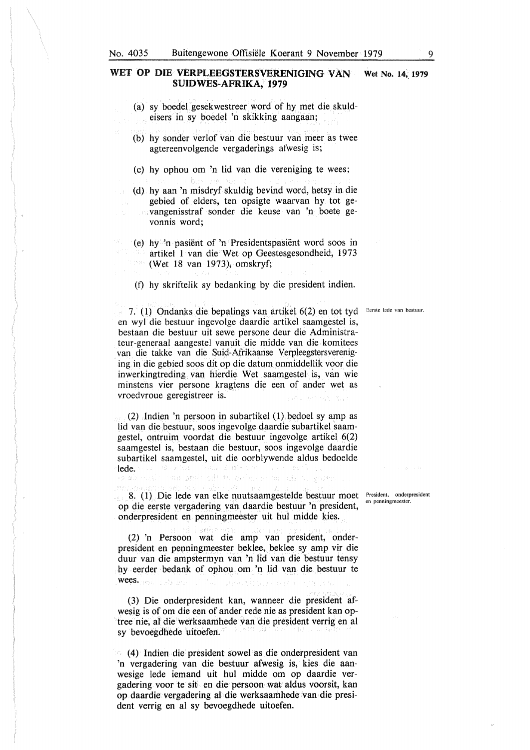- (a) sy boedel gesekwestreer word of hy met die skuldeisers in sy boedel 'n skikking aangaan;
- (b) hy sonder verlof van die bestuur van meer as twee agtereenvolgende vergaderings afwesig is;
- (c) hy ophou om 'n lid van die vereniging te wees;
- (d) hy aan 'n misdryf skuldig bevind word, hetsy in die gebied of elders, ten opsigte waarvan hy tot gevangenisstraf sonder die keuse van 'n boete gevonnis word;
- (e) hy 'n pasient of 'n Presidentspasient word soos in artikel 1 van die Wet op Geestesgesondheid, 1973 (Wet 18 van 1973), omskryf;
	- (t) hy skriftelik sy bedanking by die president indien.

7. (1) Ondanks die bepalings van artikel 6(2) en tot tyd Eerste lede van bestuur. en wyl die bestuur ingevolge daardie artikel saamgestel is, bestaan die bestuur uit sewe persone deur die Administrateur-generaal aangestel vanuit die midde van die komitees van die takke van die Suid-Afrikaanse Verpleegstersvereniging in die gebied soos dit op die datum onmiddellik voor die inwerkingtreding van hierdie Wet saamgestel is, van wie minstens vier persone kragtens die een of ander wet as vroedvroue geregistreer is.

(2) .lndien 'n persoon in subartikel (1) bedoel sy amp as lid van die bestuur, soos ingevolge daardie subartikel saamgestel, ontruim voordat die bestuur ingevolge artikel 6(2) saamgestel is, bestaan die bestuur, soos ingevolge daardie subartikel saamgestel, uit die oorblywende aldus bedoelde lede. Holland Code o mas grein officer recisions and an

8. (1) Die lede van elke nuutsaamgestelde bestuur moet President, onderpresident op die eerste vergadering van daardie bestuur 'n president, onderpresident en penningmeester uit hul midde kies.

(2) 'n Persoon wat die amp van president, onderpresident en penningmeester beklee, beklee sy amp vir die duur van die ampstermyn van 'n lid van die bestuur tensy hy eerder bedank of ophou om 'n lid van die bestuur te wees. **Website the Website of the State** Danselein von Staat an

(3) Die onderpresident kan, wanneer die president afwesig is of om die een of ander rede nie as president kan optree nie, al die werksaamhede van die president verrig en al sy bevoegdhede uitoefen.

( 4) Indien die president sowel as die onderpresident van 'n vergadering van die bestuur afwesig is, kies die aanwesige lede iemand uit hul midde om op daardie vergadering voor te sit en die persoon wat aldus voorsit, kan op daardie vergadering al die werksaamhede van die president verrig en al sy bevoegdhede uitoefen.

en pcnningmeester.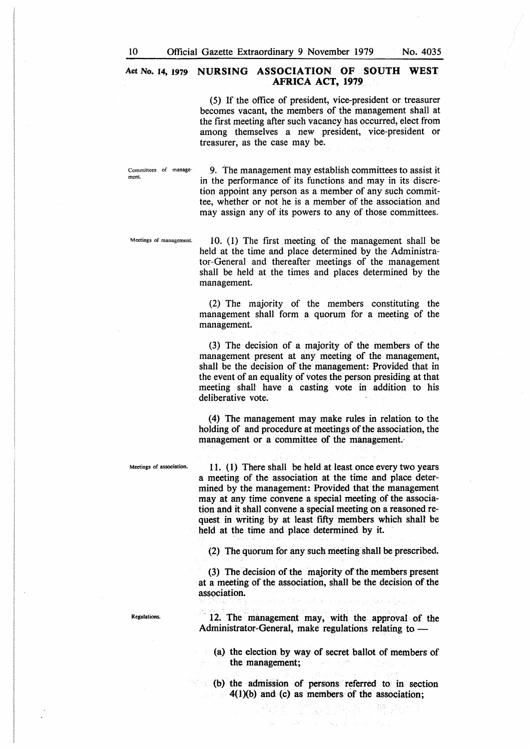### **Act No. 14, 1979 NURSING ASSOCIATION OF SOUTH WEST AFRICA ACT, 1979**

(5) If the office of president, vice-president or treasurer becomes vacant, the members of the management shall at the first meeting after such vacancy has occurred, elect from among themselves a new president, vice-president or treasurer, as the case may be.

Committees of management.

9. The management may establish committees to assist it in the performance of its functions and may in its discretion appoint any person as a member of any such committee, whether or not he is a member of the association and may assign any of its powers to any of those committees.

Meetings of management.

10. ( 1) The first meeting of the management shall be held at the time and place determined by the Administrator-General and thereafter meetings of the management shall be held at the times and places determined by the management.

(2) The majority of the members constituting the management shall form a quorum for a meeting of the management.

(3) The decision of a majority of the members of the management present at any meeting of the management, shall be the decision of the management: Provided that in the event of an equality of votes the person presiding at that meeting shall have a casting vote in addition to his deliberative vote.

(4) The management may make rules in relation. to the holding of and procedure at meetings of the association, the management or a committee of the management.·

Meetings of association. 11. (1) There shall be held at least once every two years a meeting of the association at the time and place determined by the management: Provided that the management may at any time convene a special meeting of the association and it shall convene a special meeting on a reasoned request in writing by at least fifty members which shall be held at the time and place determined by it.

(2) The quorum for any such meeting shall be prescribed.

 $(3)$  The decision of the majority of the members present at a meeting of the association, shall be the decision of the association. ready in the

Regulations.

12. The management may, with the approval of the Administrator-General, make regulations relating to -

- (a) the election by way of secret ballot of members of the management;
- (b) the admission of persons referred to in section 4(1)(b) and (c) as members of the association;

 $\gamma$  ;  $\gamma$ 

→ 特 シール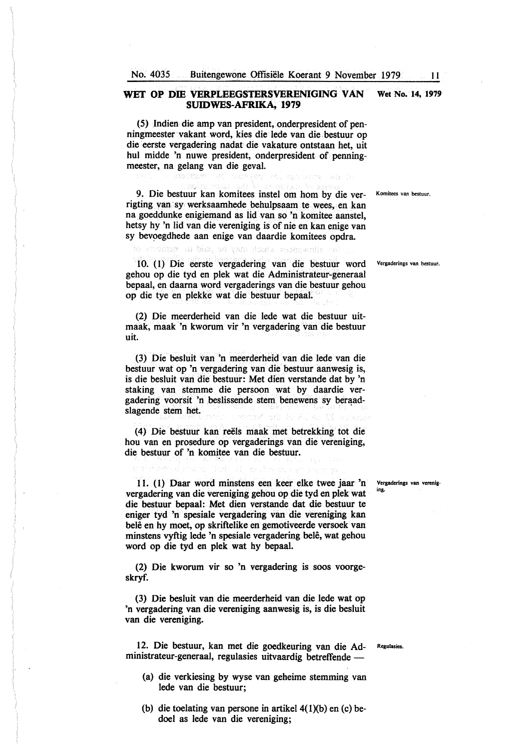(5) Indien die amp van president, onderpresident of penningmeester vakant word, kies die lede van die. bestuur op die eerste vergadering nadat die vakature ontstaan het, uit hul midde 'n nuwe president, onderpresident of penningmeester, na gelang van die geval.

9. Die bestuur kan komitees instel om hom by die ver- Komitees van bestuur. rigting van· sy werksaamhede behulpsaam te wees, en kan na goeddunke enigiemand as lid van so 'n komitee aanstel, hetsy hy 'n lid van die vereniging is of nie en kan enige van sy bevoegdhede aan enige van daardie komitees opdra.

st dubr a bist on yan don's receival

10. (I) Die eerste vergadering van die bestuur word Vergaderings van bestuur. gehou op die tyd en plek wat die Administrateur-generaal bepaal, en daarna word vergaderings van die bestuur gehou op die tye en plekke wat die bestuur bepaal.

(2) Die meerderheid van die lede wat die bestuur uitmaak, maak 'n kworum vir 'n vergadering van die bestuur uit.

(3) Die besluit van 'n meerderheid van die lede van die bestuur wat op 'n vergadering van die bestuur aanwesig is, is die besluit van die bestuur: Met dien verstande dat by 'n staking van stemme die persoon wat by daardie vergadering voorsit 'n beslissende stem benewens sy beraadslagende stem het.

( 4) Die bestuur kan reels maak met betrekking tot die hou van en prosedure op vergaderings van die vereniging, die bestuur of 'n komitee van die bestuur.

11. ( 1) Daar word minstens een keer elke twee jaar 'n vergadering van die vereniging gehou op die tyd en plek wat die bestuur bepaal: Met dien verstande dat die bestuur te eniger tyd 'n spesiale vergadering van die vereniging kan belê en hy moet, op skriftelike en gemotiveerde versoek van minstens vyftig lede 'n spesiale vergadering belê, wat gehou word op die tyd en plek wat hy bepaal.

(2) Die kworum vir so 'n vergadering is soos voorgeskryf.

(3) Die besluit van die meerderheid van die lede wat op 'n vergadering van die vereniging aanwesig is, is die besluit van die vereniging.

12. Die bestuur, kan met die goedkeuring van die Ad- Regulasies. ministrateur-generaal, regulasies uitvaardig betreffende -

- (a) die verkiesing by wyse van geheime stemming van lede van die bestuur;
- (b) die toelating van persone in artikel  $4(1)(b)$  en (c) bedoel as lede van die vereniging;

Vergaderings van vereniging.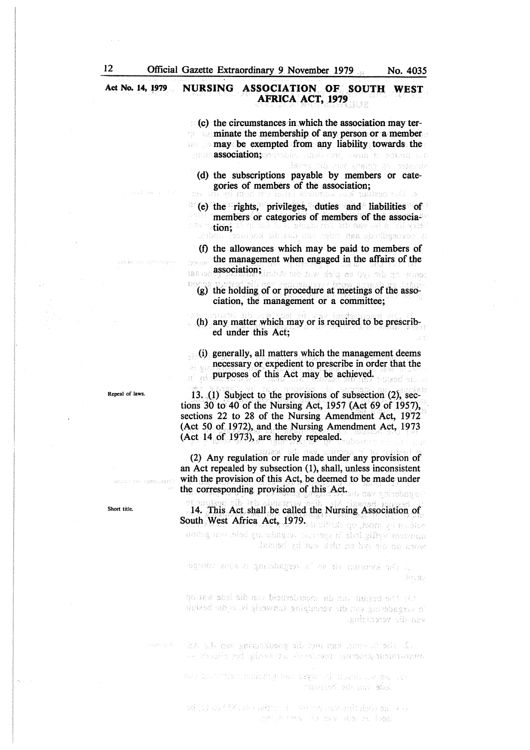### Act No. 14, 1979 NURSING ASSOCIATION OF SOUTH WEST **AFRICA ACT, 1979**

 $(c)$  the circumstances in which the association may ter- $\sim$  minate the membership of any person or a member **may** be exempted from any liability towards the against association; security as a security of social conduction;  $\alpha$ 

(d) the subscriptions payable by members or categories of members of the association;

lsver då nov präke 24. oktober

· {e) the rights, privileges, duties and liabilities of members or categories of members of the associaterry in this wan die vermeen to or me uit an <mark>ombr</mark>ow<br>tions overdische aan cuius van diastie kommeet vo*de* va

(f) the allowances which may be paid to members of the management when engaged in the affairs of the association; and the whole ship and the process fee or

(g) the holding of or procedure at meetings of the association, the management or a committee;

(h) any matter which may or is required to be prescribed under this Act;

 $\Box$ (i) generally, all matters which the management deems necessary or expedient to prescribe in order that the purposes of this Act may be achieved.

13. (1) Subject to the provisions of subsection (2), sections 30 to 40 of the Nursing Act, 1957 (Act 69 of 1957), sections 22 to 28 of the Nursing Amendment Act, 1972 (Act 50 of 1972), and the Nursing Amendment Act,  $1973$ (Act 14 of 1973), are hereby repealed.

(2) Any regulation or rule made under any provision of an Act repealed by subsection  $(1)$ , shall, unless inconsistent with the provision of this Act, be deemed to be made under the corresponding provision of this Act.

14. This Act shall be called the Nursing Association of South West Africa Act, 1979. modes not hist to second conservation was adout lesesí ví my skr m byr sir na raw

egyber seck a gmeshagiet n' or ny namows af, h. jande

(A) Besund was die averderdeid van die lede wat op e vrgadeting von die voreniging aanwesig is vid besind aguiginosor vib nev

.2. The commer kan me the goedkouring was die Ad ee shaabin mil qibees dhu kuusimaan Taanaangeaanaaaanna

an que varia administrativa en la mandade de randerd oth tusy stad

váju) la fiki na patro di usu ng siyu minison mu i n and the same van van verslag in

Repeal of laws.

Short title.

hum speech zoení